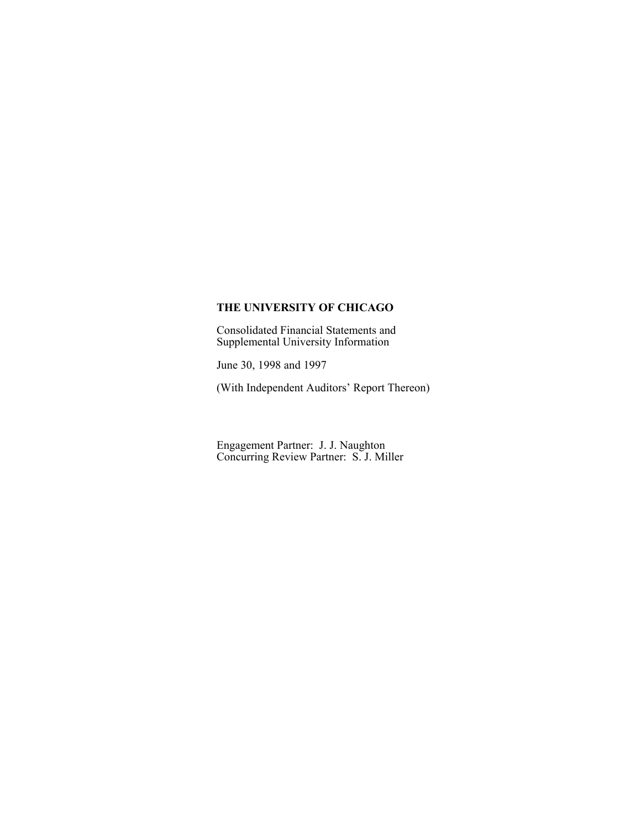Consolidated Financial Statements and Supplemental University Information

June 30, 1998 and 1997

(With Independent Auditors' Report Thereon)

Engagement Partner: J. J. Naughton Concurring Review Partner: S. J. Miller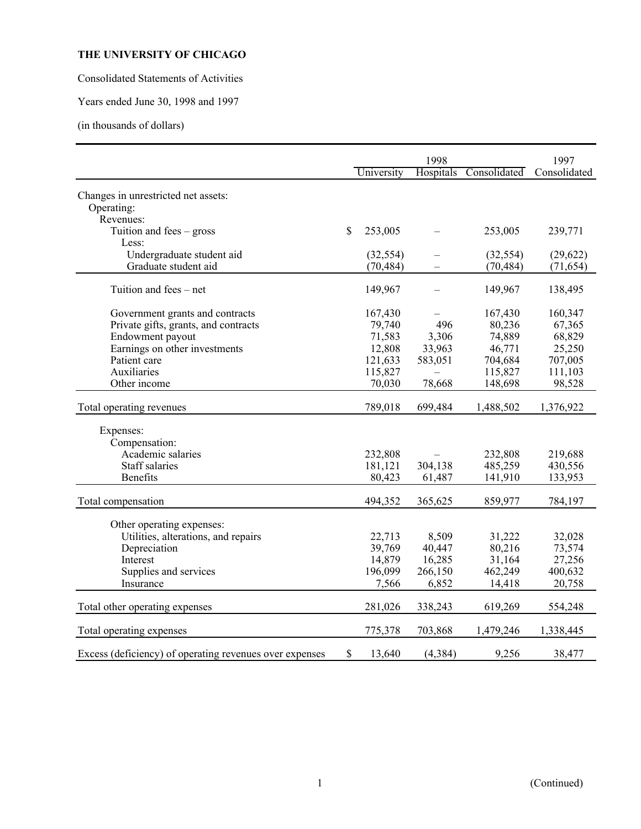Consolidated Statements of Activities

Years ended June 30, 1998 and 1997

(in thousands of dollars)

|                                                                                                                                                                                                                                       |                                                                                  | 1998                                                   |                                                                                     | 1997                                                                               |
|---------------------------------------------------------------------------------------------------------------------------------------------------------------------------------------------------------------------------------------|----------------------------------------------------------------------------------|--------------------------------------------------------|-------------------------------------------------------------------------------------|------------------------------------------------------------------------------------|
|                                                                                                                                                                                                                                       | University                                                                       | <b>Hospitals</b>                                       | Consolidated                                                                        | Consolidated                                                                       |
| Changes in unrestricted net assets:<br>Operating:<br>Revenues:                                                                                                                                                                        |                                                                                  |                                                        |                                                                                     |                                                                                    |
| \$<br>Tuition and fees $-$ gross<br>Less:                                                                                                                                                                                             | 253,005                                                                          |                                                        | 253,005                                                                             | 239,771                                                                            |
| Undergraduate student aid<br>Graduate student aid                                                                                                                                                                                     | (32, 554)<br>(70, 484)                                                           |                                                        | (32, 554)<br>(70, 484)                                                              | (29, 622)<br>(71, 654)                                                             |
| Tuition and fees – net                                                                                                                                                                                                                | 149,967                                                                          |                                                        | 149,967                                                                             | 138,495                                                                            |
| Government grants and contracts<br>Private gifts, grants, and contracts<br>Endowment payout<br>Earnings on other investments<br>Patient care<br>Auxiliaries<br>Other income<br>Total operating revenues<br>Expenses:<br>Compensation: | 167,430<br>79,740<br>71,583<br>12,808<br>121,633<br>115,827<br>70,030<br>789,018 | 496<br>3,306<br>33,963<br>583,051<br>78,668<br>699,484 | 167,430<br>80,236<br>74,889<br>46,771<br>704,684<br>115,827<br>148,698<br>1,488,502 | 160,347<br>67,365<br>68,829<br>25,250<br>707,005<br>111,103<br>98,528<br>1,376,922 |
| Academic salaries<br><b>Staff salaries</b><br><b>Benefits</b>                                                                                                                                                                         | 232,808<br>181,121<br>80,423                                                     | 304,138<br>61,487                                      | 232,808<br>485,259<br>141,910                                                       | 219,688<br>430,556<br>133,953                                                      |
| Total compensation                                                                                                                                                                                                                    | 494,352                                                                          | 365,625                                                | 859,977                                                                             | 784,197                                                                            |
| Other operating expenses:<br>Utilities, alterations, and repairs<br>Depreciation<br>Interest<br>Supplies and services<br>Insurance                                                                                                    | 22,713<br>39,769<br>14,879<br>196,099<br>7,566                                   | 8,509<br>40,447<br>16,285<br>266,150<br>6,852          | 31,222<br>80,216<br>31,164<br>462,249<br>14,418                                     | 32,028<br>73,574<br>27,256<br>400,632<br>20,758                                    |
| Total other operating expenses                                                                                                                                                                                                        | 281,026                                                                          | 338,243                                                | 619,269                                                                             | 554,248                                                                            |
| Total operating expenses                                                                                                                                                                                                              | 775,378                                                                          | 703,868                                                | 1,479,246                                                                           | 1,338,445                                                                          |
| \$<br>Excess (deficiency) of operating revenues over expenses                                                                                                                                                                         | 13,640                                                                           | (4, 384)                                               | 9,256                                                                               | 38,477                                                                             |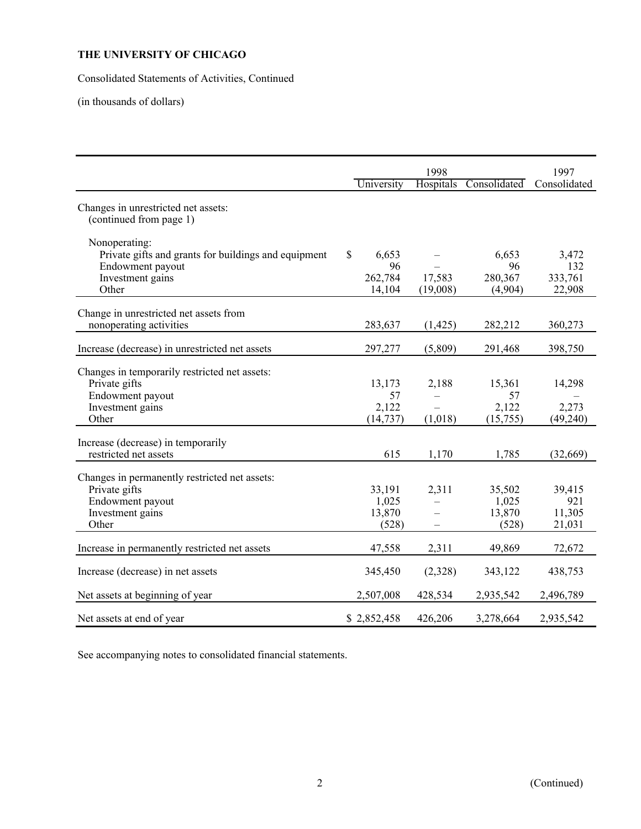Consolidated Statements of Activities, Continued

(in thousands of dollars)

|                                                                                                                        |                                        | 1998               |                                    | 1997                              |
|------------------------------------------------------------------------------------------------------------------------|----------------------------------------|--------------------|------------------------------------|-----------------------------------|
|                                                                                                                        | University                             | Hospitals          | Consolidated                       | Consolidated                      |
| Changes in unrestricted net assets:<br>(continued from page 1)                                                         |                                        |                    |                                    |                                   |
| Nonoperating:<br>Private gifts and grants for buildings and equipment<br>Endowment payout<br>Investment gains<br>Other | \$<br>6,653<br>96<br>262,784<br>14,104 | 17,583<br>(19,008) | 6,653<br>96<br>280,367<br>(4,904)  | 3,472<br>132<br>333,761<br>22,908 |
| Change in unrestricted net assets from<br>nonoperating activities                                                      | 283,637                                | (1, 425)           | 282,212                            | 360,273                           |
| Increase (decrease) in unrestricted net assets                                                                         | 297,277                                | (5,809)            | 291,468                            | 398,750                           |
| Changes in temporarily restricted net assets:<br>Private gifts<br>Endowment payout<br>Investment gains<br>Other        | 13,173<br>57<br>2,122<br>(14, 737)     | 2,188<br>(1,018)   | 15,361<br>57<br>2,122<br>(15,755)  | 14,298<br>2,273<br>(49, 240)      |
| Increase (decrease) in temporarily<br>restricted net assets                                                            | 615                                    | 1,170              | 1,785                              | (32,669)                          |
| Changes in permanently restricted net assets:<br>Private gifts<br>Endowment payout<br>Investment gains<br>Other        | 33,191<br>1,025<br>13,870<br>(528)     | 2,311              | 35,502<br>1,025<br>13,870<br>(528) | 39,415<br>921<br>11,305<br>21,031 |
| Increase in permanently restricted net assets                                                                          | 47,558                                 | 2,311              | 49,869                             | 72,672                            |
| Increase (decrease) in net assets                                                                                      | 345,450                                | (2,328)            | 343,122                            | 438,753                           |
| Net assets at beginning of year                                                                                        | 2,507,008                              | 428,534            | 2,935,542                          | 2,496,789                         |
| Net assets at end of year                                                                                              | \$2,852,458                            | 426,206            | 3,278,664                          | 2,935,542                         |

See accompanying notes to consolidated financial statements.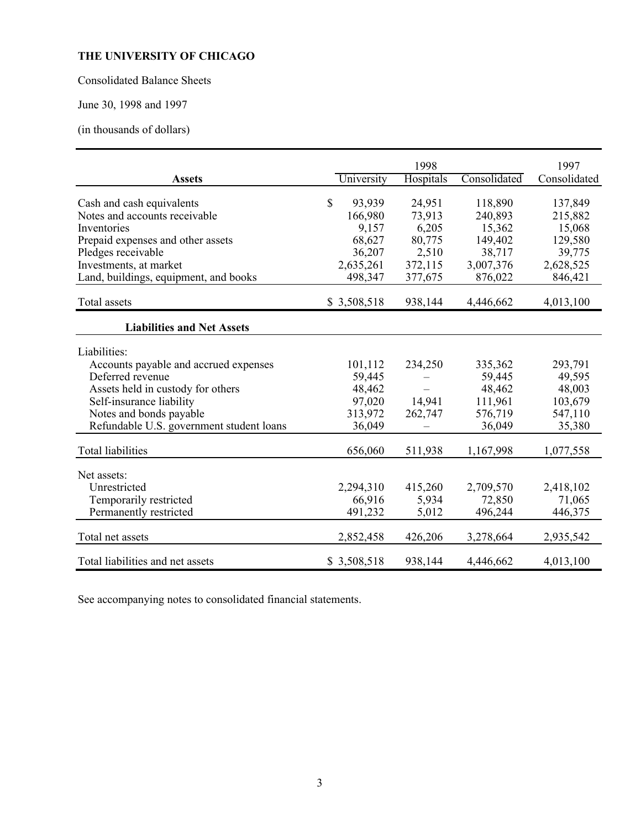Consolidated Balance Sheets

June 30, 1998 and 1997

(in thousands of dollars)

| <b>Assets</b>                                                                                                                                                                                                     | University                                                 | 1998<br>Hospitals                   | Consolidated                                                | 1997<br>Consolidated                                        |
|-------------------------------------------------------------------------------------------------------------------------------------------------------------------------------------------------------------------|------------------------------------------------------------|-------------------------------------|-------------------------------------------------------------|-------------------------------------------------------------|
| Cash and cash equivalents<br>Notes and accounts receivable<br>Inventories<br>Prepaid expenses and other assets                                                                                                    | \$<br>93,939<br>166,980<br>9,157<br>68,627                 | 24,951<br>73,913<br>6,205<br>80,775 | 118,890<br>240,893<br>15,362<br>149,402                     | 137,849<br>215,882<br>15,068<br>129,580                     |
| Pledges receivable<br>Investments, at market<br>Land, buildings, equipment, and books                                                                                                                             | 36,207<br>2,635,261<br>498,347                             | 2,510<br>372,115<br>377,675         | 38,717<br>3,007,376<br>876,022                              | 39,775<br>2,628,525<br>846,421                              |
| Total assets                                                                                                                                                                                                      | \$3,508,518                                                | 938,144                             | 4,446,662                                                   | 4,013,100                                                   |
| <b>Liabilities and Net Assets</b>                                                                                                                                                                                 |                                                            |                                     |                                                             |                                                             |
| Liabilities:<br>Accounts payable and accrued expenses<br>Deferred revenue<br>Assets held in custody for others<br>Self-insurance liability<br>Notes and bonds payable<br>Refundable U.S. government student loans | 101,112<br>59,445<br>48,462<br>97,020<br>313,972<br>36,049 | 234,250<br>14,941<br>262,747        | 335,362<br>59,445<br>48,462<br>111,961<br>576,719<br>36,049 | 293,791<br>49,595<br>48,003<br>103,679<br>547,110<br>35,380 |
| <b>Total liabilities</b>                                                                                                                                                                                          | 656,060                                                    | 511,938                             | 1,167,998                                                   | 1,077,558                                                   |
| Net assets:<br>Unrestricted<br>Temporarily restricted<br>Permanently restricted                                                                                                                                   | 2,294,310<br>66,916<br>491,232                             | 415,260<br>5,934<br>5,012           | 2,709,570<br>72,850<br>496,244                              | 2,418,102<br>71,065<br>446,375                              |
| Total net assets                                                                                                                                                                                                  | 2,852,458                                                  | 426,206                             | 3,278,664                                                   | 2,935,542                                                   |
| Total liabilities and net assets                                                                                                                                                                                  | \$3,508,518                                                | 938,144                             | 4,446,662                                                   | 4,013,100                                                   |

See accompanying notes to consolidated financial statements.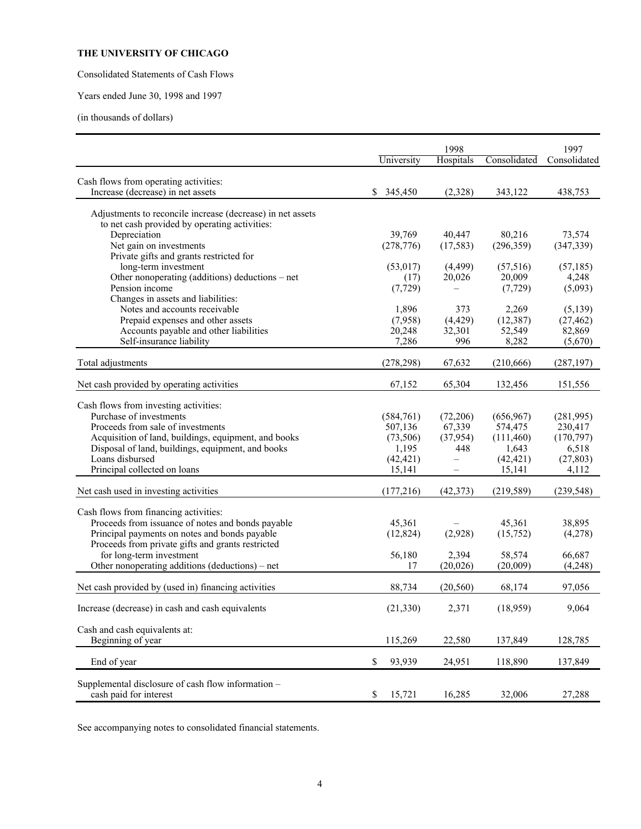Consolidated Statements of Cash Flows

Years ended June 30, 1998 and 1997

(in thousands of dollars)

|                                                                              | 1998         |                          |              | 1997         |  |
|------------------------------------------------------------------------------|--------------|--------------------------|--------------|--------------|--|
|                                                                              | University   | Hospitals                | Consolidated | Consolidated |  |
| Cash flows from operating activities:                                        |              |                          |              |              |  |
| Increase (decrease) in net assets                                            | \$345,450    | (2,328)                  | 343,122      | 438,753      |  |
| Adjustments to reconcile increase (decrease) in net assets                   |              |                          |              |              |  |
| to net cash provided by operating activities:                                |              |                          |              |              |  |
| Depreciation                                                                 | 39,769       | 40,447                   | 80,216       | 73,574       |  |
| Net gain on investments                                                      | (278, 776)   | (17, 583)                | (296, 359)   | (347, 339)   |  |
| Private gifts and grants restricted for                                      |              |                          |              |              |  |
| long-term investment                                                         | (53, 017)    | (4, 499)                 | (57, 516)    | (57, 185)    |  |
| Other nonoperating (additions) deductions – net                              | (17)         | 20,026                   | 20,009       | 4,248        |  |
| Pension income                                                               | (7, 729)     |                          | (7, 729)     | (5,093)      |  |
| Changes in assets and liabilities:                                           |              |                          |              |              |  |
| Notes and accounts receivable                                                | 1,896        | 373                      | 2,269        | (5,139)      |  |
| Prepaid expenses and other assets                                            | (7,958)      | (4, 429)                 | (12, 387)    | (27, 462)    |  |
| Accounts payable and other liabilities                                       | 20,248       | 32,301                   | 52,549       | 82,869       |  |
| Self-insurance liability                                                     | 7,286        | 996                      | 8,282        | (5,670)      |  |
| Total adjustments                                                            | (278, 298)   | 67,632                   | (210, 666)   | (287, 197)   |  |
|                                                                              |              |                          |              |              |  |
| Net cash provided by operating activities                                    | 67,152       | 65,304                   | 132,456      | 151,556      |  |
| Cash flows from investing activities:                                        |              |                          |              |              |  |
| Purchase of investments                                                      | (584, 761)   | (72,206)                 | (656, 967)   | (281,995)    |  |
| Proceeds from sale of investments                                            | 507,136      | 67,339                   | 574,475      | 230,417      |  |
| Acquisition of land, buildings, equipment, and books                         | (73,506)     | (37, 954)                | (111,460)    | (170, 797)   |  |
| Disposal of land, buildings, equipment, and books                            | 1,195        | 448                      | 1,643        | 6,518        |  |
| Loans disbursed                                                              | (42, 421)    | $\overline{\phantom{0}}$ | (42, 421)    | (27, 803)    |  |
| Principal collected on loans                                                 | 15,141       | $\qquad \qquad -$        | 15,141       | 4,112        |  |
|                                                                              |              |                          |              |              |  |
| Net cash used in investing activities                                        | (177, 216)   | (42, 373)                | (219, 589)   | (239, 548)   |  |
| Cash flows from financing activities:                                        |              |                          |              |              |  |
| Proceeds from issuance of notes and bonds payable                            | 45,361       |                          | 45,361       | 38,895       |  |
| Principal payments on notes and bonds payable                                | (12, 824)    | (2,928)                  | (15,752)     | (4,278)      |  |
| Proceeds from private gifts and grants restricted                            |              |                          |              |              |  |
| for long-term investment                                                     | 56,180       | 2,394                    | 58,574       | 66,687       |  |
| Other nonoperating additions (deductions) – net                              | 17           | (20, 026)                | (20,009)     | (4,248)      |  |
|                                                                              |              |                          |              |              |  |
| Net cash provided by (used in) financing activities                          | 88,734       | (20, 560)                | 68,174       | 97,056       |  |
| Increase (decrease) in cash and cash equivalents                             | (21, 330)    | 2,371                    | (18,959)     | 9,064        |  |
| Cash and cash equivalents at:                                                |              |                          |              |              |  |
| Beginning of year                                                            | 115,269      | 22,580                   | 137,849      | 128,785      |  |
| End of year                                                                  | \$<br>93,939 | 24,951                   | 118,890      | 137,849      |  |
|                                                                              |              |                          |              |              |  |
| Supplemental disclosure of cash flow information -<br>cash paid for interest | 15,721<br>\$ | 16,285                   | 32,006       | 27,288       |  |

See accompanying notes to consolidated financial statements.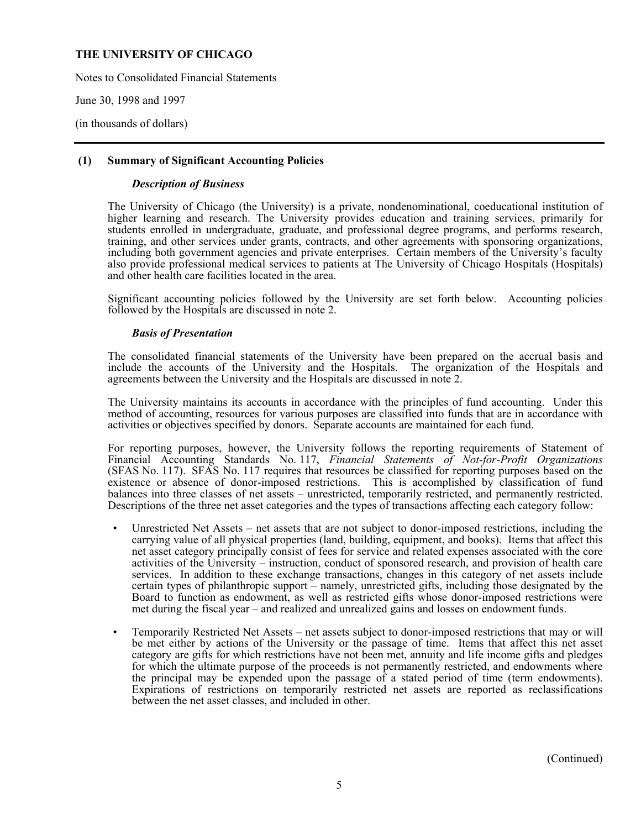Notes to Consolidated Financial Statements

June 30, 1998 and 1997

(in thousands of dollars)

#### **(1) Summary of Significant Accounting Policies**

#### *Description of Business*

 The University of Chicago (the University) is a private, nondenominational, coeducational institution of higher learning and research. The University provides education and training services, primarily for students enrolled in undergraduate, graduate, and professional degree programs, and performs research, training, and other services under grants, contracts, and other agreements with sponsoring organizations, including both government agencies and private enterprises. Certain members of the University's faculty also provide professional medical services to patients at The University of Chicago Hospitals (Hospitals) and other health care facilities located in the area.

 Significant accounting policies followed by the University are set forth below. Accounting policies followed by the Hospitals are discussed in note 2.

#### *Basis of Presentation*

 The consolidated financial statements of the University have been prepared on the accrual basis and include the accounts of the University and the Hospitals. The organization of the Hospitals and agreements between the University and the Hospitals are discussed in note 2.

 The University maintains its accounts in accordance with the principles of fund accounting. Under this method of accounting, resources for various purposes are classified into funds that are in accordance with activities or objectives specified by donors. Separate accounts are maintained for each fund.

 For reporting purposes, however, the University follows the reporting requirements of Statement of Financial Accounting Standards No. 117, *Financial Statements of Not-for-Profit Organizations* (SFAS No. 117). SFAS No. 117 requires that resources be classified for reporting purposes based on the existence or absence of donor-imposed restrictions. This is accomplished by classification of fund balances into three classes of net assets – unrestricted, temporarily restricted, and permanently restricted. Descriptions of the three net asset categories and the types of transactions affecting each category follow:

- Unrestricted Net Assets net assets that are not subject to donor-imposed restrictions, including the carrying value of all physical properties (land, building, equipment, and books). Items that affect this net asset category principally consist of fees for service and related expenses associated with the core activities of the University – instruction, conduct of sponsored research, and provision of health care services. In addition to these exchange transactions, changes in this category of net assets include certain types of philanthropic support – namely, unrestricted gifts, including those designated by the Board to function as endowment, as well as restricted gifts whose donor-imposed restrictions were met during the fiscal year – and realized and unrealized gains and losses on endowment funds.
- Temporarily Restricted Net Assets net assets subject to donor-imposed restrictions that may or will be met either by actions of the University or the passage of time. Items that affect this net asset category are gifts for which restrictions have not been met, annuity and life income gifts and pledges for which the ultimate purpose of the proceeds is not permanently restricted, and endowments where the principal may be expended upon the passage of a stated period of time (term endowments). Expirations of restrictions on temporarily restricted net assets are reported as reclassifications between the net asset classes, and included in other.

(Continued)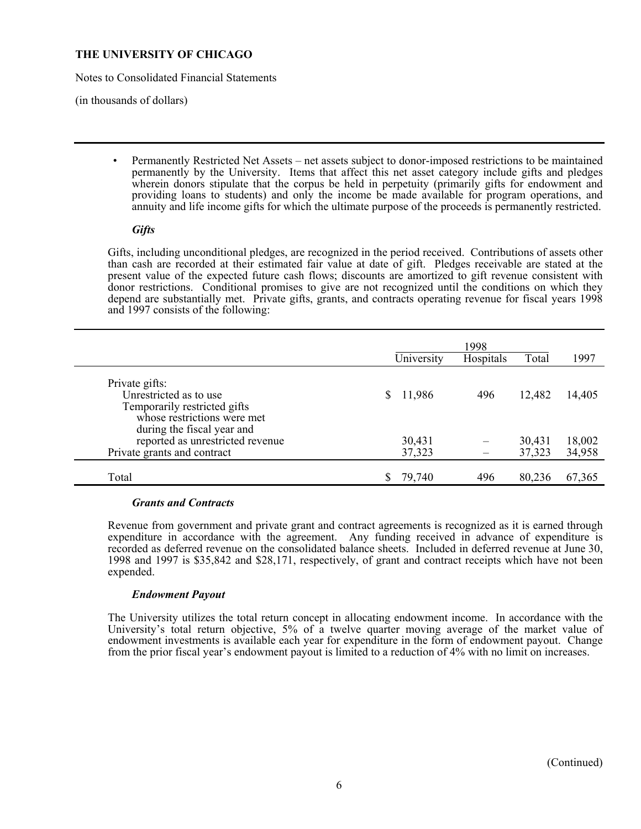Notes to Consolidated Financial Statements

(in thousands of dollars)

• Permanently Restricted Net Assets – net assets subject to donor-imposed restrictions to be maintained permanently by the University. Items that affect this net asset category include gifts and pledges wherein donors stipulate that the corpus be held in perpetuity (primarily gifts for endowment and providing loans to students) and only the income be made available for program operations, and annuity and life income gifts for which the ultimate purpose of the proceeds is permanently restricted.

#### *Gifts*

 Gifts, including unconditional pledges, are recognized in the period received. Contributions of assets other than cash are recorded at their estimated fair value at date of gift. Pledges receivable are stated at the present value of the expected future cash flows; discounts are amortized to gift revenue consistent with donor restrictions. Conditional promises to give are not recognized until the conditions on which they depend are substantially met. Private gifts, grants, and contracts operating revenue for fiscal years 1998 and 1997 consists of the following:

|                                                                                                         | University       | 1998<br>Hospitals | Total            | 1997             |
|---------------------------------------------------------------------------------------------------------|------------------|-------------------|------------------|------------------|
| Private gifts:<br>Unrestricted as to use<br>Temporarily restricted gifts<br>whose restrictions were met | 11,986           | 496               | 12,482           | 14,405           |
| during the fiscal year and<br>reported as unrestricted revenue<br>Private grants and contract           | 30,431<br>37,323 |                   | 30,431<br>37,323 | 18,002<br>34,958 |
| Total                                                                                                   | 79,740           | 496               | 80,236           | 67,365           |

#### *Grants and Contracts*

 Revenue from government and private grant and contract agreements is recognized as it is earned through expenditure in accordance with the agreement. Any funding received in advance of expenditure is recorded as deferred revenue on the consolidated balance sheets. Included in deferred revenue at June 30, 1998 and 1997 is \$35,842 and \$28,171, respectively, of grant and contract receipts which have not been expended.

## *Endowment Payout*

 The University utilizes the total return concept in allocating endowment income. In accordance with the University's total return objective, 5% of a twelve quarter moving average of the market value of endowment investments is available each year for expenditure in the form of endowment payout. Change from the prior fiscal year's endowment payout is limited to a reduction of 4% with no limit on increases.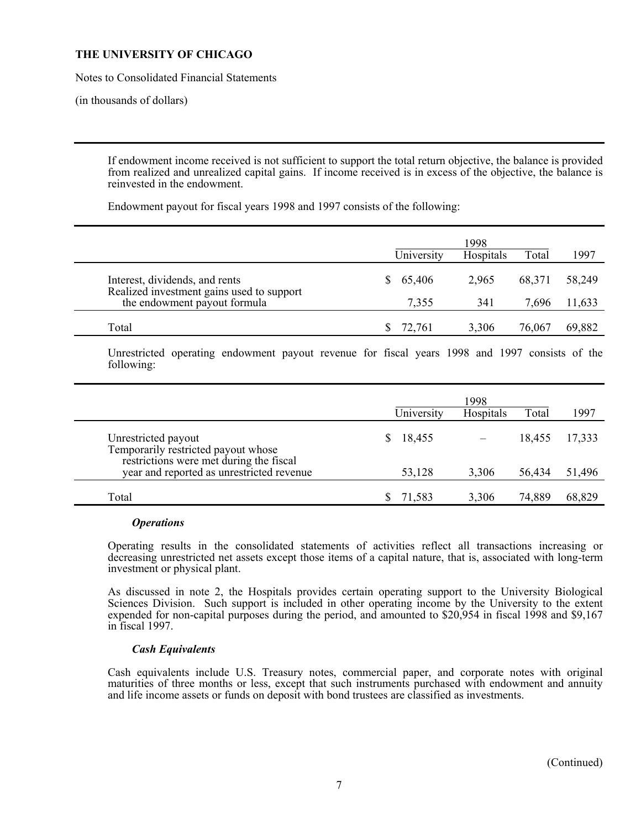Notes to Consolidated Financial Statements

(in thousands of dollars)

 If endowment income received is not sufficient to support the total return objective, the balance is provided from realized and unrealized capital gains. If income received is in excess of the objective, the balance is reinvested in the endowment.

Endowment payout for fiscal years 1998 and 1997 consists of the following:

|                                                                             | University | 1998<br>Hospitals | Total  | 1997   |
|-----------------------------------------------------------------------------|------------|-------------------|--------|--------|
| Interest, dividends, and rents<br>Realized investment gains used to support | \$65,406   | 2,965             | 68,371 | 58,249 |
| the endowment payout formula                                                | 7,355      | 341               | 7,696  | 11,633 |
| Total                                                                       | 72.761     | 3,306             | 76,067 | 69,882 |

 Unrestricted operating endowment payout revenue for fiscal years 1998 and 1997 consists of the following:

|                                                                                      | University | 1998<br>Hospitals | Total  | 1997   |
|--------------------------------------------------------------------------------------|------------|-------------------|--------|--------|
| Unrestricted payout<br>Temporarily restricted payout whose                           | 18,455     |                   | 18,455 | 17,333 |
| restrictions were met during the fiscal<br>year and reported as unrestricted revenue | 53,128     | 3,306             | 56,434 | 51,496 |
| Total                                                                                | 71,583     | 3,306             | 74,889 | 68,829 |

#### *Operations*

 Operating results in the consolidated statements of activities reflect all transactions increasing or decreasing unrestricted net assets except those items of a capital nature, that is, associated with long-term investment or physical plant.

 As discussed in note 2, the Hospitals provides certain operating support to the University Biological Sciences Division. Such support is included in other operating income by the University to the extent expended for non-capital purposes during the period, and amounted to \$20,954 in fiscal 1998 and \$9,167 in fiscal 1997.

#### *Cash Equivalents*

 Cash equivalents include U.S. Treasury notes, commercial paper, and corporate notes with original maturities of three months or less, except that such instruments purchased with endowment and annuity and life income assets or funds on deposit with bond trustees are classified as investments.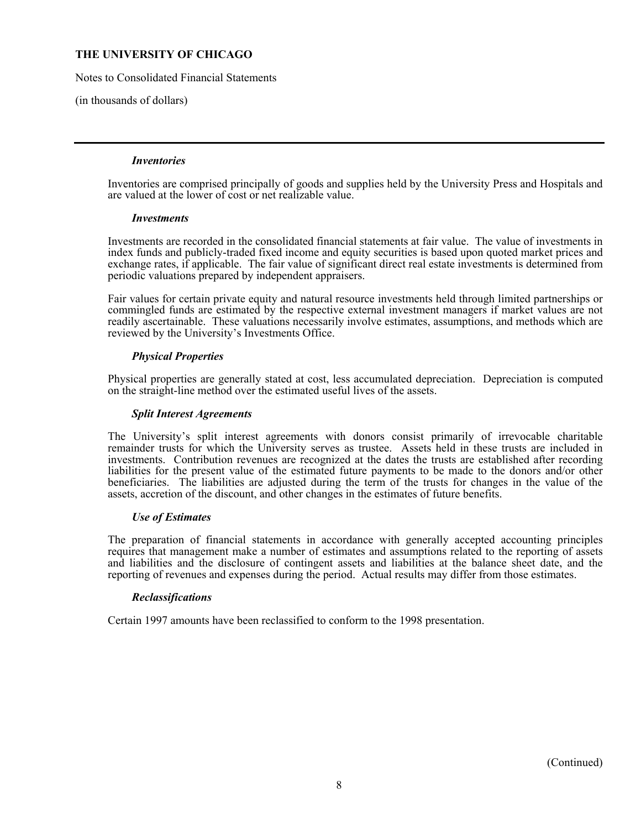Notes to Consolidated Financial Statements

(in thousands of dollars)

#### *Inventories*

 Inventories are comprised principally of goods and supplies held by the University Press and Hospitals and are valued at the lower of cost or net realizable value.

#### *Investments*

 Investments are recorded in the consolidated financial statements at fair value. The value of investments in index funds and publicly-traded fixed income and equity securities is based upon quoted market prices and exchange rates, if applicable. The fair value of significant direct real estate investments is determined from periodic valuations prepared by independent appraisers.

 Fair values for certain private equity and natural resource investments held through limited partnerships or commingled funds are estimated by the respective external investment managers if market values are not readily ascertainable. These valuations necessarily involve estimates, assumptions, and methods which are reviewed by the University's Investments Office.

## *Physical Properties*

 Physical properties are generally stated at cost, less accumulated depreciation. Depreciation is computed on the straight-line method over the estimated useful lives of the assets.

#### *Split Interest Agreements*

 The University's split interest agreements with donors consist primarily of irrevocable charitable remainder trusts for which the University serves as trustee. Assets held in these trusts are included in investments. Contribution revenues are recognized at the dates the trusts are established after recording liabilities for the present value of the estimated future payments to be made to the donors and/or other beneficiaries. The liabilities are adjusted during the term of the trusts for changes in the value of the assets, accretion of the discount, and other changes in the estimates of future benefits.

#### *Use of Estimates*

 The preparation of financial statements in accordance with generally accepted accounting principles requires that management make a number of estimates and assumptions related to the reporting of assets and liabilities and the disclosure of contingent assets and liabilities at the balance sheet date, and the reporting of revenues and expenses during the period. Actual results may differ from those estimates.

## *Reclassifications*

Certain 1997 amounts have been reclassified to conform to the 1998 presentation.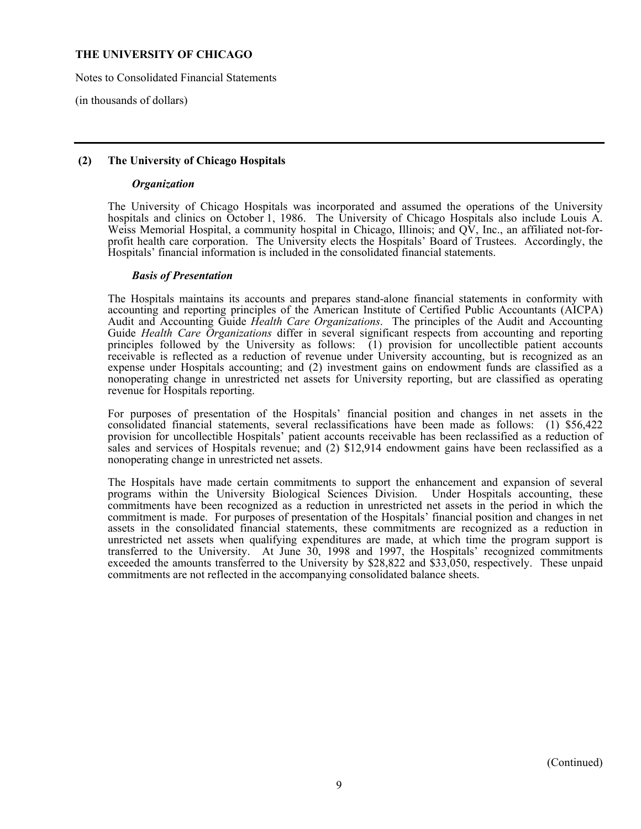Notes to Consolidated Financial Statements

(in thousands of dollars)

### **(2) The University of Chicago Hospitals**

#### *Organization*

 The University of Chicago Hospitals was incorporated and assumed the operations of the University hospitals and clinics on October 1, 1986. The University of Chicago Hospitals also include Louis A. Weiss Memorial Hospital, a community hospital in Chicago, Illinois; and QV, Inc., an affiliated not-forprofit health care corporation. The University elects the Hospitals' Board of Trustees. Accordingly, the Hospitals' financial information is included in the consolidated financial statements.

#### *Basis of Presentation*

 The Hospitals maintains its accounts and prepares stand-alone financial statements in conformity with accounting and reporting principles of the American Institute of Certified Public Accountants (AICPA) Audit and Accounting Guide *Health Care Organizations*. The principles of the Audit and Accounting Guide *Health Care Organizations* differ in several significant respects from accounting and reporting principles followed by the University as follows:  $(1)$  provision for uncollectible patient accounts receivable is reflected as a reduction of revenue under University accounting, but is recognized as an expense under Hospitals accounting; and (2) investment gains on endowment funds are classified as a nonoperating change in unrestricted net assets for University reporting, but are classified as operating revenue for Hospitals reporting.

 For purposes of presentation of the Hospitals' financial position and changes in net assets in the consolidated financial statements, several reclassifications have been made as follows: (1) \$56,422 provision for uncollectible Hospitals' patient accounts receivable has been reclassified as a reduction of sales and services of Hospitals revenue; and (2) \$12,914 endowment gains have been reclassified as a nonoperating change in unrestricted net assets.

 The Hospitals have made certain commitments to support the enhancement and expansion of several programs within the University Biological Sciences Division. Under Hospitals accounting, these commitments have been recognized as a reduction in unrestricted net assets in the period in which the commitment is made. For purposes of presentation of the Hospitals' financial position and changes in net assets in the consolidated financial statements, these commitments are recognized as a reduction in unrestricted net assets when qualifying expenditures are made, at which time the program support is transferred to the University. At June 30, 1998 and 1997, the Hospitals' recognized commitments exceeded the amounts transferred to the University by \$28,822 and \$33,050, respectively. These unpaid commitments are not reflected in the accompanying consolidated balance sheets.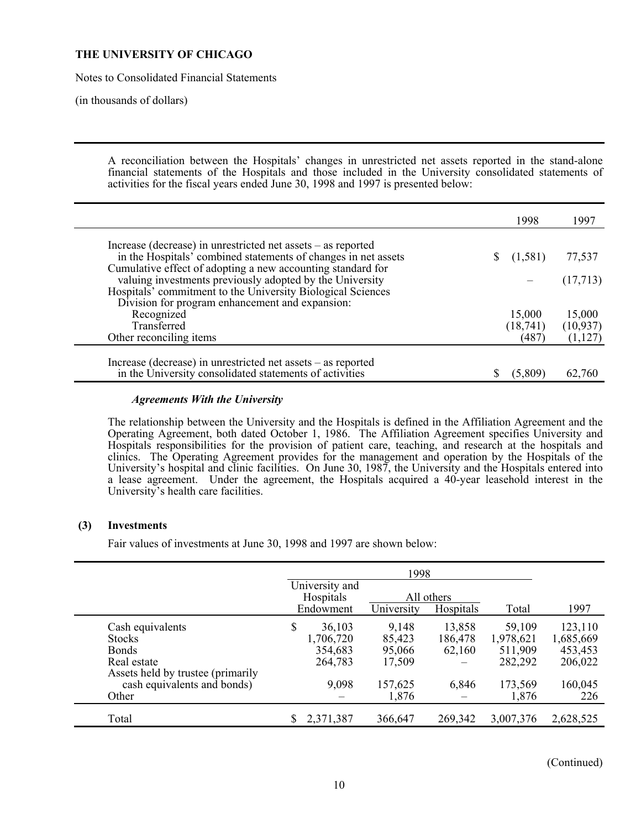Notes to Consolidated Financial Statements

(in thousands of dollars)

 A reconciliation between the Hospitals' changes in unrestricted net assets reported in the stand-alone financial statements of the Hospitals and those included in the University consolidated statements of activities for the fiscal years ended June 30, 1998 and 1997 is presented below:

| Increase (decrease) in unrestricted net assets – as reported                                                                  |           |           |
|-------------------------------------------------------------------------------------------------------------------------------|-----------|-----------|
|                                                                                                                               |           |           |
| in the Hospitals' combined statements of changes in net assets<br>Cumulative effect of adopting a new accounting standard for | (1,581)   | 77,537    |
| valuing investments previously adopted by the University                                                                      |           | (17,713)  |
| Hospitals' commitment to the University Biological Sciences                                                                   |           |           |
| Division for program enhancement and expansion:                                                                               |           |           |
| Recognized                                                                                                                    | 15,000    | 15,000    |
| Transferred                                                                                                                   | (18, 741) | (10, 937) |
| Other reconciling items                                                                                                       | (487)     | (1, 127)  |

#### *Agreements With the University*

 The relationship between the University and the Hospitals is defined in the Affiliation Agreement and the Operating Agreement, both dated October 1, 1986. The Affiliation Agreement specifies University and Hospitals responsibilities for the provision of patient care, teaching, and research at the hospitals and clinics. The Operating Agreement provides for the management and operation by the Hospitals of the University's hospital and clinic facilities. On June 30, 1987, the University and the Hospitals entered into a lease agreement. Under the agreement, the Hospitals acquired a 40-year leasehold interest in the University's health care facilities.

#### **(3) Investments**

Fair values of investments at June 30, 1998 and 1997 are shown below:

|                                   | University and |            |            |           |           |
|-----------------------------------|----------------|------------|------------|-----------|-----------|
|                                   | Hospitals      |            | All others |           |           |
|                                   | Endowment      | University | Hospitals  | Total     | 1997      |
| Cash equivalents                  | \$<br>36,103   | 9,148      | 13,858     | 59,109    | 123,110   |
| <b>Stocks</b>                     | 1,706,720      | 85,423     | 186,478    | 1,978,621 | 1,685,669 |
| <b>Bonds</b>                      | 354,683        | 95,066     | 62,160     | 511,909   | 453,453   |
| Real estate                       | 264,783        | 17,509     |            | 282,292   | 206,022   |
| Assets held by trustee (primarily |                |            |            |           |           |
| cash equivalents and bonds)       | 9,098          | 157,625    | 6,846      | 173,569   | 160,045   |
| Other                             |                | 1,876      |            | 1,876     | 226       |
| Total                             | 2,371,387      | 366,647    | 269,342    | 3,007,376 | 2,628,525 |

(Continued)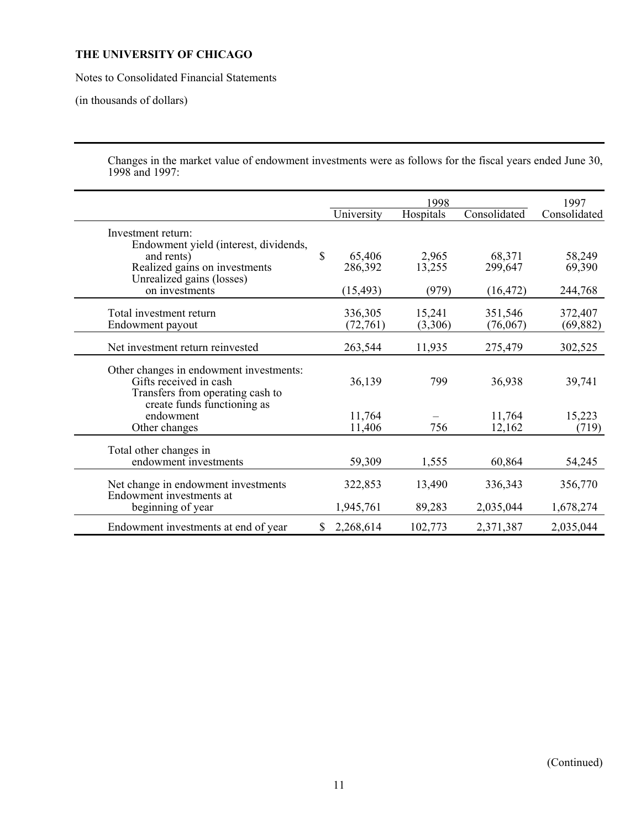Notes to Consolidated Financial Statements

(in thousands of dollars)

 Changes in the market value of endowment investments were as follows for the fiscal years ended June 30, 1998 and 1997:

|                                                                                                                                      | 1998 |                      |                   |                     | 1997                 |
|--------------------------------------------------------------------------------------------------------------------------------------|------|----------------------|-------------------|---------------------|----------------------|
|                                                                                                                                      |      | University           | Hospitals         | Consolidated        | Consolidated         |
| Investment return:<br>Endowment yield (interest, dividends,                                                                          |      |                      |                   |                     |                      |
| and rents)<br>Realized gains on investments                                                                                          | \$   | 65,406<br>286,392    | 2,965<br>13,255   | 68,371<br>299,647   | 58,249<br>69,390     |
| Unrealized gains (losses)<br>on investments                                                                                          |      | (15, 493)            | (979)             | (16, 472)           | 244,768              |
| Total investment return<br>Endowment payout                                                                                          |      | 336,305<br>(72, 761) | 15,241<br>(3,306) | 351,546<br>(76,067) | 372,407<br>(69, 882) |
| Net investment return reinvested                                                                                                     |      | 263,544              | 11,935            | 275,479             | 302,525              |
| Other changes in endowment investments:<br>Gifts received in cash<br>Transfers from operating cash to<br>create funds functioning as |      | 36,139               | 799               | 36,938              | 39,741               |
| endowment<br>Other changes                                                                                                           |      | 11,764<br>11,406     | 756               | 11,764<br>12,162    | 15,223<br>(719)      |
| Total other changes in<br>endowment investments                                                                                      |      | 59,309               | 1,555             | 60,864              | 54,245               |
| Net change in endowment investments<br>Endowment investments at                                                                      |      | 322,853              | 13,490            | 336,343             | 356,770              |
| beginning of year                                                                                                                    |      | 1,945,761            | 89,283            | 2,035,044           | 1,678,274            |
| Endowment investments at end of year                                                                                                 | \$   | 2,268,614            | 102,773           | 2,371,387           | 2,035,044            |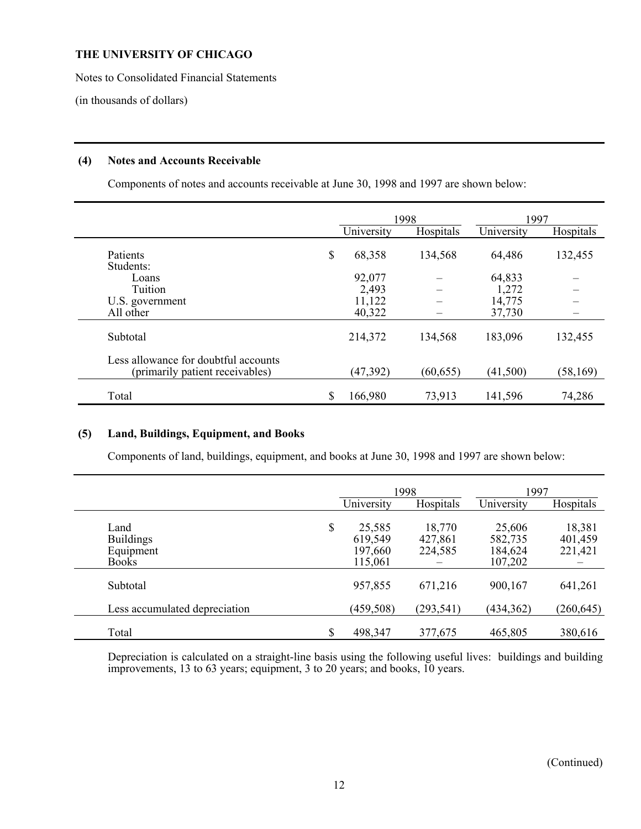Notes to Consolidated Financial Statements

(in thousands of dollars)

### **(4) Notes and Accounts Receivable**

Components of notes and accounts receivable at June 30, 1998 and 1997 are shown below:

|                                                                         |               | 1998      | 1997       |           |  |
|-------------------------------------------------------------------------|---------------|-----------|------------|-----------|--|
|                                                                         | University    | Hospitals | University | Hospitals |  |
| Patients<br>Students:                                                   | \$<br>68,358  | 134,568   | 64,486     | 132,455   |  |
| Loans                                                                   | 92,077        |           | 64,833     |           |  |
| Tuition                                                                 | 2,493         |           | 1,272      |           |  |
| U.S. government                                                         | 11,122        |           | 14,775     |           |  |
| All other                                                               | 40,322        |           | 37,730     |           |  |
| Subtotal                                                                | 214,372       | 134,568   | 183,096    | 132,455   |  |
| Less allowance for doubtful accounts<br>(primarily patient receivables) | (47, 392)     | (60, 655) | (41,500)   | (58, 169) |  |
| Total                                                                   | \$<br>166,980 | 73,913    | 141,596    | 74,286    |  |

## **(5) Land, Buildings, Equipment, and Books**

Components of land, buildings, equipment, and books at June 30, 1998 and 1997 are shown below:

|                                                       |                                               | 1998                         | 1997                                    |                              |
|-------------------------------------------------------|-----------------------------------------------|------------------------------|-----------------------------------------|------------------------------|
|                                                       | University                                    | Hospitals                    | University                              | Hospitals                    |
| Land<br><b>Buildings</b><br>Equipment<br><b>Books</b> | \$<br>25,585<br>619,549<br>197,660<br>115,061 | 18,770<br>427,861<br>224,585 | 25,606<br>582,735<br>184,624<br>107,202 | 18,381<br>401,459<br>221,421 |
| Subtotal                                              | 957,855                                       | 671,216                      | 900,167                                 | 641,261                      |
| Less accumulated depreciation                         | (459, 508)                                    | (293, 541)                   | (434, 362)                              | (260, 645)                   |
| Total                                                 | \$<br>498,347                                 | 377,675                      | 465,805                                 | 380,616                      |

 Depreciation is calculated on a straight-line basis using the following useful lives: buildings and building improvements, 13 to 63 years; equipment, 3 to 20 years; and books, 10 years.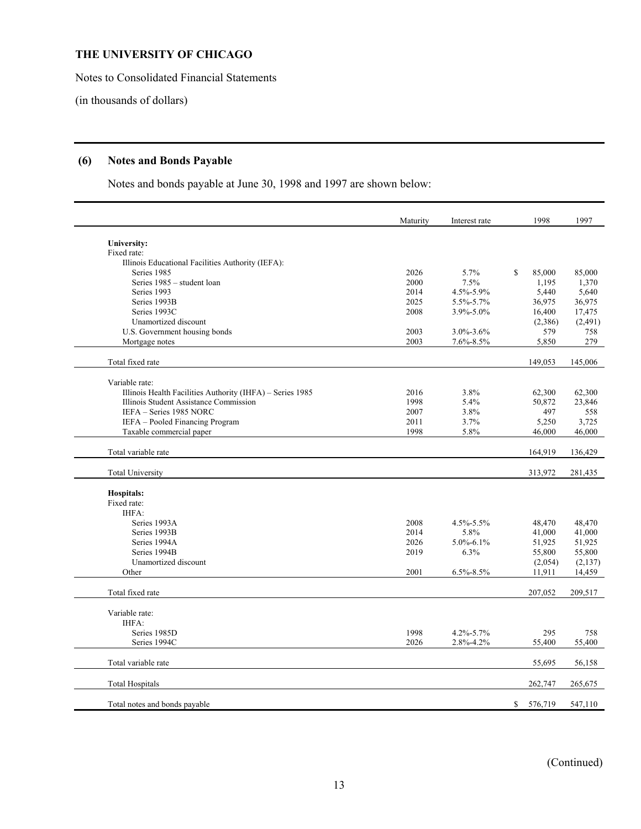Notes to Consolidated Financial Statements

(in thousands of dollars)

## **(6) Notes and Bonds Payable**

Notes and bonds payable at June 30, 1998 and 1997 are shown below:

|                                                            | Maturity     | Interest rate   | 1998          | 1997         |
|------------------------------------------------------------|--------------|-----------------|---------------|--------------|
| University:                                                |              |                 |               |              |
| Fixed rate:                                                |              |                 |               |              |
| Illinois Educational Facilities Authority (IEFA):          |              |                 |               |              |
| Series 1985                                                | 2026         | 5.7%            | \$<br>85,000  | 85,000       |
| Series 1985 - student loan                                 | 2000         | 7.5%            | 1,195         | 1,370        |
| Series 1993                                                | 2014         | 4.5%-5.9%       | 5,440         | 5,640        |
| Series 1993B                                               | 2025         | 5.5%-5.7%       | 36,975        | 36,975       |
| Series 1993C                                               | 2008         | 3.9%-5.0%       | 16,400        | 17,475       |
| Unamortized discount                                       |              |                 | (2,386)       | (2,491)      |
| U.S. Government housing bonds                              | 2003         | 3.0%-3.6%       | 579           | 758          |
| Mortgage notes                                             | 2003         | $7.6\% - 8.5\%$ | 5,850         | 279          |
| Total fixed rate                                           |              |                 | 149,053       | 145,006      |
|                                                            |              |                 |               |              |
| Variable rate:                                             |              |                 |               |              |
| Illinois Health Facilities Authority (IHFA) - Series 1985  | 2016<br>1998 | 3.8%            | 62,300        | 62,300       |
| Illinois Student Assistance Commission                     |              | 5.4%            | 50,872        | 23,846       |
| IEFA - Series 1985 NORC<br>IEFA - Pooled Financing Program | 2007<br>2011 | 3.8%<br>3.7%    | 497<br>5,250  | 558<br>3,725 |
| Taxable commercial paper                                   | 1998         | 5.8%            | 46,000        | 46,000       |
|                                                            |              |                 |               |              |
| Total variable rate                                        |              |                 | 164,919       | 136,429      |
| <b>Total University</b>                                    |              |                 | 313,972       | 281,435      |
| <b>Hospitals:</b>                                          |              |                 |               |              |
| Fixed rate:                                                |              |                 |               |              |
| IHFA:                                                      |              |                 |               |              |
| Series 1993A                                               | 2008         | 4.5%-5.5%       | 48,470        | 48,470       |
| Series 1993B                                               | 2014         | 5.8%            | 41,000        | 41,000       |
| Series 1994A                                               | 2026         | $5.0\% - 6.1\%$ | 51,925        | 51,925       |
| Series 1994B                                               | 2019         | 6.3%            | 55,800        | 55,800       |
| Unamortized discount                                       |              |                 | (2,054)       | (2, 137)     |
| Other                                                      | 2001         | $6.5\% - 8.5\%$ | 11,911        | 14,459       |
| Total fixed rate                                           |              |                 | 207,052       | 209,517      |
| Variable rate:                                             |              |                 |               |              |
| IHFA:                                                      |              |                 |               |              |
| Series 1985D                                               | 1998         | 4.2%-5.7%       | 295           | 758          |
| Series 1994C                                               | 2026         | 2.8%-4.2%       | 55,400        | 55,400       |
| Total variable rate                                        |              |                 | 55,695        | 56,158       |
| <b>Total Hospitals</b>                                     |              |                 | 262,747       | 265,675      |
| Total notes and bonds payable                              |              |                 | \$<br>576,719 | 547,110      |

(Continued)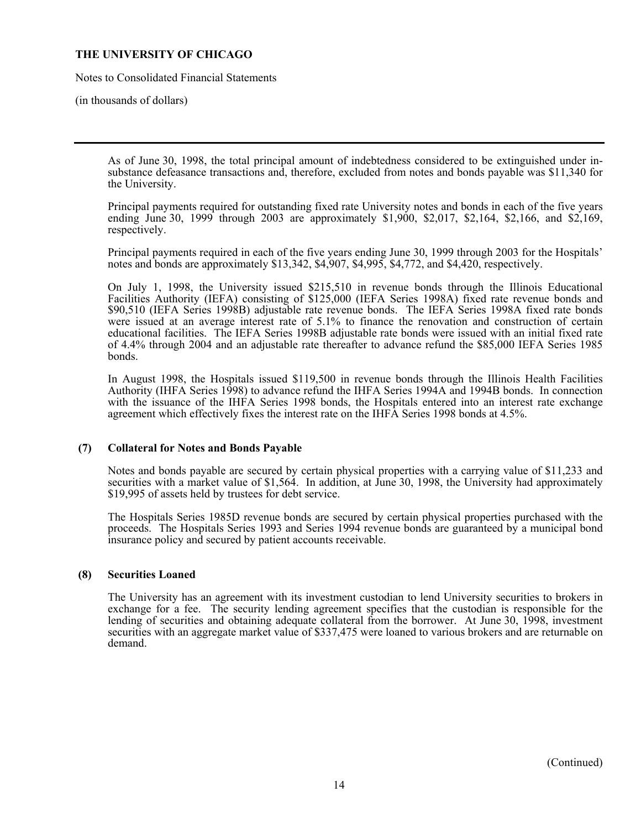Notes to Consolidated Financial Statements

(in thousands of dollars)

 As of June 30, 1998, the total principal amount of indebtedness considered to be extinguished under insubstance defeasance transactions and, therefore, excluded from notes and bonds payable was \$11,340 for the University.

 Principal payments required for outstanding fixed rate University notes and bonds in each of the five years ending June 30, 1999 through 2003 are approximately \$1,900, \$2,017, \$2,164, \$2,166, and \$2,169, respectively.

 Principal payments required in each of the five years ending June 30, 1999 through 2003 for the Hospitals' notes and bonds are approximately \$13,342, \$4,907, \$4,995, \$4,772, and \$4,420, respectively.

 On July 1, 1998, the University issued \$215,510 in revenue bonds through the Illinois Educational Facilities Authority (IEFA) consisting of \$125,000 (IEFA Series 1998A) fixed rate revenue bonds and \$90,510 (IEFA Series 1998B) adjustable rate revenue bonds. The IEFA Series 1998A fixed rate bonds were issued at an average interest rate of 5.1% to finance the renovation and construction of certain educational facilities. The IEFA Series 1998B adjustable rate bonds were issued with an initial fixed rate of 4.4% through 2004 and an adjustable rate thereafter to advance refund the \$85,000 IEFA Series 1985 bonds.

 In August 1998, the Hospitals issued \$119,500 in revenue bonds through the Illinois Health Facilities Authority (IHFA Series 1998) to advance refund the IHFA Series 1994A and 1994B bonds. In connection with the issuance of the IHFA Series 1998 bonds, the Hospitals entered into an interest rate exchange agreement which effectively fixes the interest rate on the IHFA Series 1998 bonds at 4.5%.

#### **(7) Collateral for Notes and Bonds Payable**

 Notes and bonds payable are secured by certain physical properties with a carrying value of \$11,233 and securities with a market value of \$1,564. In addition, at June 30, 1998, the University had approximately \$19,995 of assets held by trustees for debt service.

 The Hospitals Series 1985D revenue bonds are secured by certain physical properties purchased with the proceeds. The Hospitals Series 1993 and Series 1994 revenue bonds are guaranteed by a municipal bond insurance policy and secured by patient accounts receivable.

#### **(8) Securities Loaned**

 The University has an agreement with its investment custodian to lend University securities to brokers in exchange for a fee. The security lending agreement specifies that the custodian is responsible for the lending of securities and obtaining adequate collateral from the borrower. At June 30, 1998, investment securities with an aggregate market value of \$337,475 were loaned to various brokers and are returnable on demand.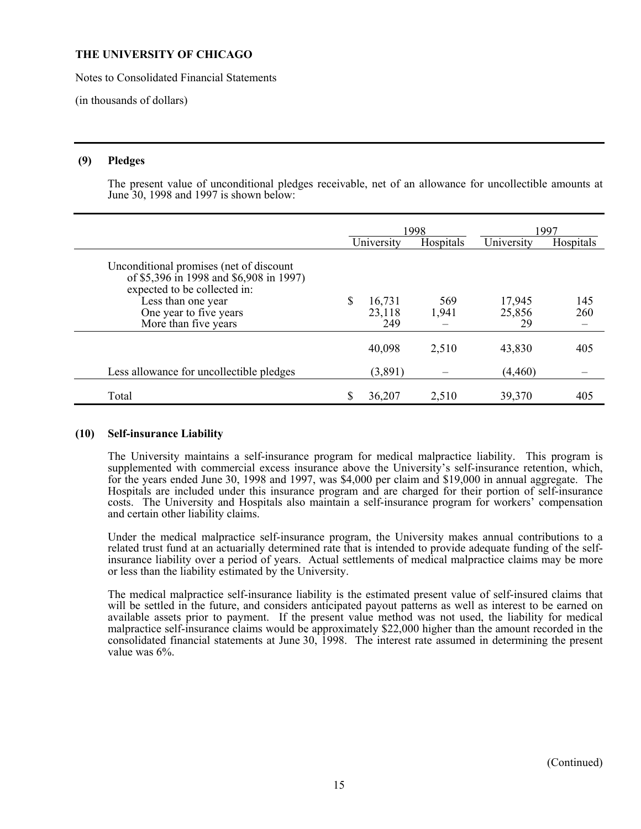Notes to Consolidated Financial Statements

(in thousands of dollars)

### **(9) Pledges**

 The present value of unconditional pledges receivable, net of an allowance for uncollectible amounts at June 30, 1998 and 1997 is shown below:

|                                                                                                                                                                                            |   | 1998                    |              | 1997                   |            |
|--------------------------------------------------------------------------------------------------------------------------------------------------------------------------------------------|---|-------------------------|--------------|------------------------|------------|
|                                                                                                                                                                                            |   | University              | Hospitals    | University             | Hospitals  |
| Unconditional promises (net of discount<br>of \$5,396 in 1998 and \$6,908 in 1997)<br>expected to be collected in:<br>Less than one year<br>One year to five years<br>More than five years |   | 16,731<br>23,118<br>249 | 569<br>1,941 | 17,945<br>25,856<br>29 | 145<br>260 |
|                                                                                                                                                                                            |   | 40,098                  | 2,510        | 43,830                 | 405        |
| Less allowance for uncollectible pledges                                                                                                                                                   |   | (3,891)                 |              | (4, 460)               |            |
| Total                                                                                                                                                                                      | S | 36,207                  | 2,510        | 39,370                 | 405        |

#### **(10) Self-insurance Liability**

 The University maintains a self-insurance program for medical malpractice liability. This program is supplemented with commercial excess insurance above the University's self-insurance retention, which, for the years ended June 30, 1998 and 1997, was \$4,000 per claim and \$19,000 in annual aggregate. The Hospitals are included under this insurance program and are charged for their portion of self-insurance costs. The University and Hospitals also maintain a self-insurance program for workers' compensation and certain other liability claims.

 Under the medical malpractice self-insurance program, the University makes annual contributions to a related trust fund at an actuarially determined rate that is intended to provide adequate funding of the selfinsurance liability over a period of years. Actual settlements of medical malpractice claims may be more or less than the liability estimated by the University.

 The medical malpractice self-insurance liability is the estimated present value of self-insured claims that will be settled in the future, and considers anticipated payout patterns as well as interest to be earned on available assets prior to payment. If the present value method was not used, the liability for medical malpractice self-insurance claims would be approximately \$22,000 higher than the amount recorded in the consolidated financial statements at June 30, 1998. The interest rate assumed in determining the present value was 6%.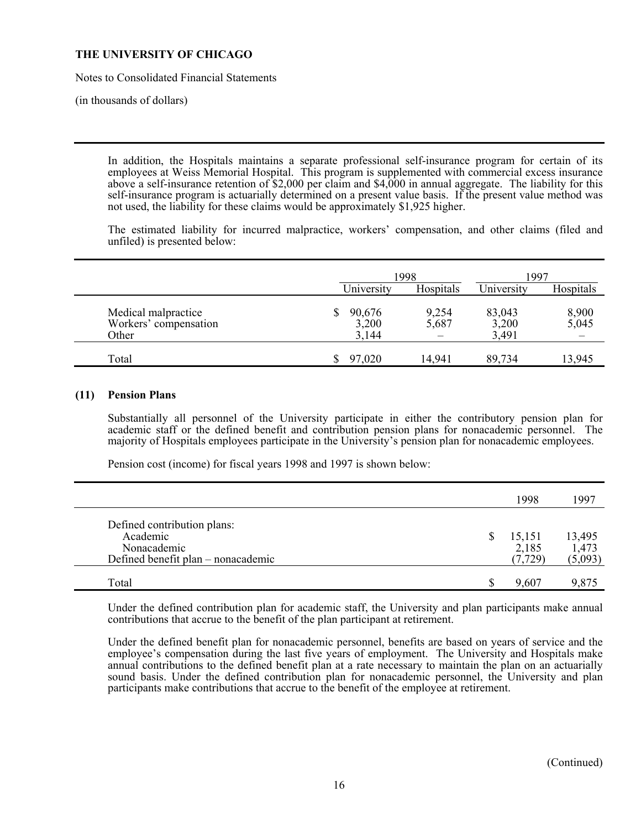Notes to Consolidated Financial Statements

(in thousands of dollars)

 In addition, the Hospitals maintains a separate professional self-insurance program for certain of its employees at Weiss Memorial Hospital. This program is supplemented with commercial excess insurance above a self-insurance retention of \$2,000 per claim and \$4,000 in annual aggregate. The liability for this self-insurance program is actuarially determined on a present value basis. If the present value method was not used, the liability for these claims would be approximately \$1,925 higher.

 The estimated liability for incurred malpractice, workers' compensation, and other claims (filed and unfiled) is presented below:

|                                                       |                          | 1998           |                          | 1997           |
|-------------------------------------------------------|--------------------------|----------------|--------------------------|----------------|
|                                                       | University               | Hospitals      | University               | Hospitals      |
| Medical malpractice<br>Workers' compensation<br>Other | 90,676<br>3,200<br>3,144 | 9,254<br>5,687 | 83,043<br>3,200<br>3,491 | 8,900<br>5,045 |
| Total                                                 | 97,020                   | 14,941         | 89,734                   | 13,945         |

#### **(11) Pension Plans**

 Substantially all personnel of the University participate in either the contributory pension plan for academic staff or the defined benefit and contribution pension plans for nonacademic personnel. The majority of Hospitals employees participate in the University's pension plan for nonacademic employees.

Pension cost (income) for fiscal years 1998 and 1997 is shown below:

|                                                                                              |   | 1998                        | 1997                       |
|----------------------------------------------------------------------------------------------|---|-----------------------------|----------------------------|
| Defined contribution plans:<br>Academic<br>Nonacademic<br>Defined benefit plan – nonacademic | S | 15,151<br>2,185<br>(7, 729) | 13,495<br>1,473<br>(5,093) |
| Total                                                                                        |   | 9,607                       | 9,875                      |

 Under the defined contribution plan for academic staff, the University and plan participants make annual contributions that accrue to the benefit of the plan participant at retirement.

 Under the defined benefit plan for nonacademic personnel, benefits are based on years of service and the employee's compensation during the last five years of employment. The University and Hospitals make annual contributions to the defined benefit plan at a rate necessary to maintain the plan on an actuarially sound basis. Under the defined contribution plan for nonacademic personnel, the University and plan participants make contributions that accrue to the benefit of the employee at retirement.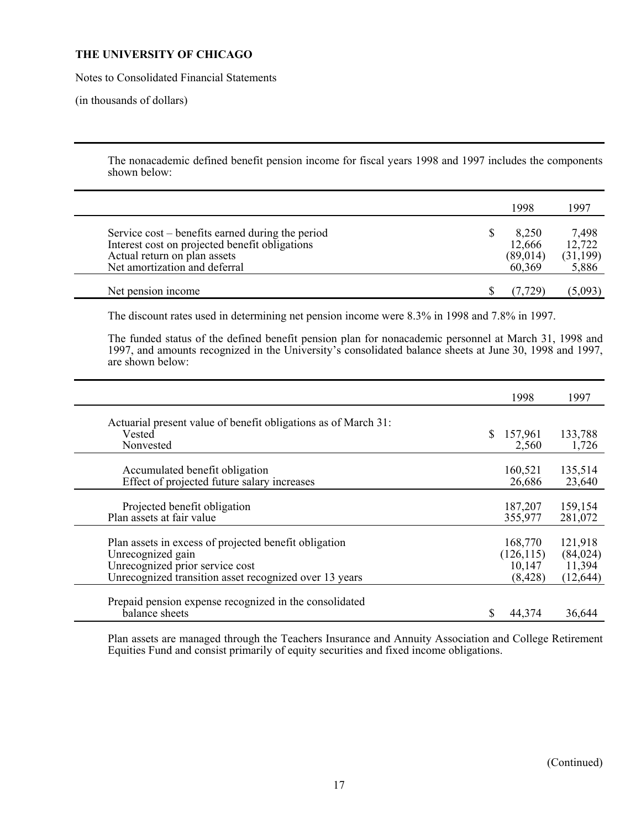Notes to Consolidated Financial Statements

(in thousands of dollars)

 The nonacademic defined benefit pension income for fiscal years 1998 and 1997 includes the components shown below:

|                                                                                                                                                                     | 1998                                   | 1997                                  |
|---------------------------------------------------------------------------------------------------------------------------------------------------------------------|----------------------------------------|---------------------------------------|
| Service cost – benefits earned during the period<br>Interest cost on projected benefit obligations<br>Actual return on plan assets<br>Net amortization and deferral | 8,250<br>12,666<br>(89, 014)<br>60,369 | 7,498<br>12,722<br>(31, 199)<br>5,886 |
| Net pension income                                                                                                                                                  |                                        | (5,093)                               |

The discount rates used in determining net pension income were 8.3% in 1998 and 7.8% in 1997.

 The funded status of the defined benefit pension plan for nonacademic personnel at March 31, 1998 and 1997, and amounts recognized in the University's consolidated balance sheets at June 30, 1998 and 1997, are shown below:

|                                                                          | 1998          | 1997      |
|--------------------------------------------------------------------------|---------------|-----------|
| Actuarial present value of benefit obligations as of March 31:           |               |           |
| Vested                                                                   | S.<br>157,961 | 133,788   |
| Nonvested                                                                | 2,560         | 1,726     |
|                                                                          |               |           |
| Accumulated benefit obligation                                           | 160,521       | 135,514   |
| Effect of projected future salary increases                              | 26,686        | 23,640    |
| Projected benefit obligation                                             | 187,207       | 159,154   |
| Plan assets at fair value                                                | 355,977       | 281,072   |
|                                                                          |               |           |
| Plan assets in excess of projected benefit obligation                    | 168,770       | 121,918   |
| Unrecognized gain                                                        | (126, 115)    | (84, 024) |
| Unrecognized prior service cost                                          | 10,147        | 11,394    |
| Unrecognized transition asset recognized over 13 years                   | (8, 428)      | (12, 644) |
|                                                                          |               |           |
| Prepaid pension expense recognized in the consolidated<br>balance sheets | 44,374        | 36,644    |
|                                                                          |               |           |

 Plan assets are managed through the Teachers Insurance and Annuity Association and College Retirement Equities Fund and consist primarily of equity securities and fixed income obligations.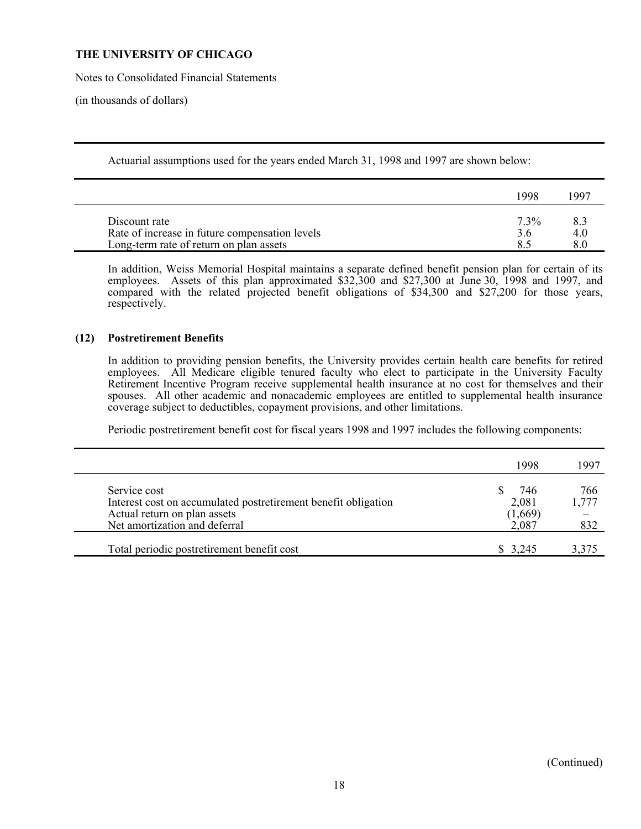Notes to Consolidated Financial Statements

(in thousands of dollars)

Actuarial assumptions used for the years ended March 31, 1998 and 1997 are shown below:

| -998    | 1997 |
|---------|------|
| $7.3\%$ | 4.0  |
|         |      |

 In addition, Weiss Memorial Hospital maintains a separate defined benefit pension plan for certain of its employees. Assets of this plan approximated \$32,300 and \$27,300 at June 30, 1998 and 1997, and compared with the related projected benefit obligations of \$34,300 and \$27,200 for those years, respectively.

## **(12) Postretirement Benefits**

 In addition to providing pension benefits, the University provides certain health care benefits for retired employees. All Medicare eligible tenured faculty who elect to participate in the University Faculty Retirement Incentive Program receive supplemental health insurance at no cost for themselves and their spouses. All other academic and nonacademic employees are entitled to supplemental health insurance coverage subject to deductibles, copayment provisions, and other limitations.

Periodic postretirement benefit cost for fiscal years 1998 and 1997 includes the following components:

|                                                                                                                                                 | 1998                             | 1997                |
|-------------------------------------------------------------------------------------------------------------------------------------------------|----------------------------------|---------------------|
| Service cost<br>Interest cost on accumulated postretirement benefit obligation<br>Actual return on plan assets<br>Net amortization and deferral | 746<br>2,081<br>(1,669)<br>2,087 | 766<br>1,777<br>832 |
| Total periodic postretirement benefit cost                                                                                                      | $\frac{1}{2}$ 3.245              | 3,375               |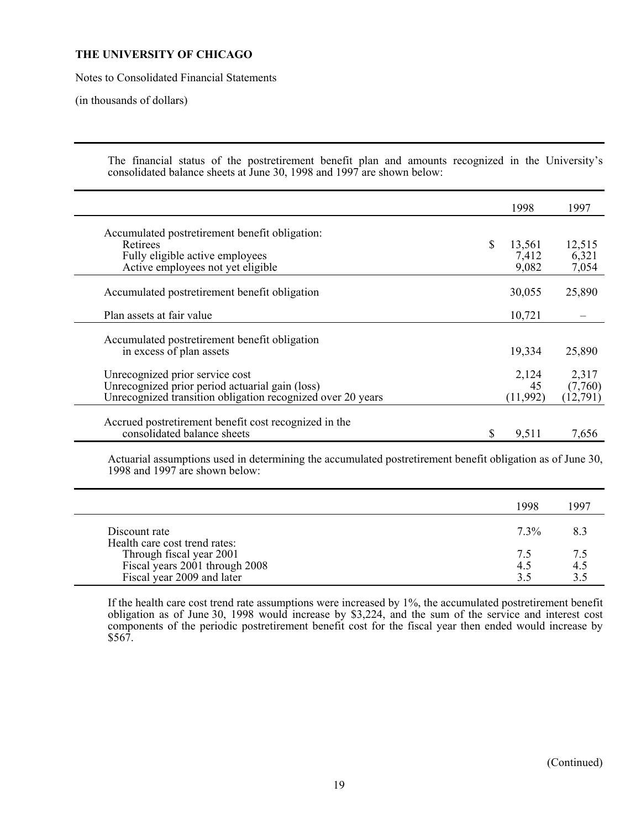Notes to Consolidated Financial Statements

(in thousands of dollars)

 The financial status of the postretirement benefit plan and amounts recognized in the University's consolidated balance sheets at June 30, 1998 and 1997 are shown below:

|                                                                                                                                                   |   | 1998                    | 1997                         |
|---------------------------------------------------------------------------------------------------------------------------------------------------|---|-------------------------|------------------------------|
| Accumulated postretirement benefit obligation:<br>Retirees<br>Fully eligible active employees                                                     | S | 13,561<br>7,412         | 12,515<br>6,321              |
| Active employees not yet eligible                                                                                                                 |   | 9,082                   | 7,054                        |
| Accumulated postretirement benefit obligation                                                                                                     |   | 30,055                  | 25,890                       |
| Plan assets at fair value                                                                                                                         |   | 10,721                  |                              |
| Accumulated postretirement benefit obligation<br>in excess of plan assets                                                                         |   | 19,334                  | 25,890                       |
| Unrecognized prior service cost<br>Unrecognized prior period actuarial gain (loss)<br>Unrecognized transition obligation recognized over 20 years |   | 2,124<br>45<br>(11,992) | 2,317<br>(7,760)<br>(12,791) |
| Accrued postretirement benefit cost recognized in the<br>consolidated balance sheets                                                              | S | 9,511                   | 7,656                        |

 Actuarial assumptions used in determining the accumulated postretirement benefit obligation as of June 30, 1998 and 1997 are shown below:

|                                                            | 1998      | 1997      |
|------------------------------------------------------------|-----------|-----------|
| Discount rate                                              | $7.3\%$   |           |
| Health care cost trend rates:                              |           |           |
| Through fiscal year 2001<br>Fiscal years 2001 through 2008 | 75<br>4.5 | 75<br>4.5 |
| Fiscal year 2009 and later                                 |           |           |

 If the health care cost trend rate assumptions were increased by 1%, the accumulated postretirement benefit obligation as of June 30, 1998 would increase by \$3,224, and the sum of the service and interest cost components of the periodic postretirement benefit cost for the fiscal year then ended would increase by  $$56\overline{7}$ .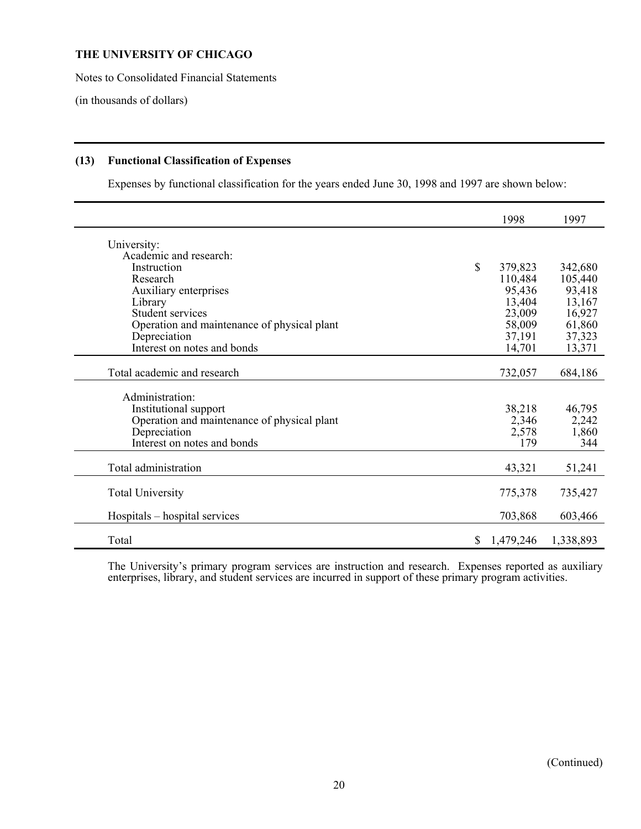Notes to Consolidated Financial Statements

(in thousands of dollars)

## **(13) Functional Classification of Expenses**

Expenses by functional classification for the years ended June 30, 1998 and 1997 are shown below:

|                                             |    | 1998      | 1997      |
|---------------------------------------------|----|-----------|-----------|
| University:                                 |    |           |           |
| Academic and research:                      |    |           |           |
| Instruction                                 | \$ | 379,823   | 342,680   |
| Research                                    |    | 110,484   | 105,440   |
| Auxiliary enterprises                       |    | 95,436    | 93,418    |
| Library                                     |    | 13,404    | 13,167    |
| Student services                            |    | 23,009    | 16,927    |
| Operation and maintenance of physical plant |    | 58,009    | 61,860    |
| Depreciation                                |    | 37,191    | 37,323    |
| Interest on notes and bonds                 |    | 14,701    | 13,371    |
| Total academic and research                 |    | 732,057   | 684,186   |
|                                             |    |           |           |
| Administration:                             |    |           |           |
| Institutional support                       |    | 38,218    | 46,795    |
| Operation and maintenance of physical plant |    | 2,346     | 2,242     |
| Depreciation                                |    | 2,578     | 1,860     |
| Interest on notes and bonds                 |    | 179       | 344       |
| Total administration                        |    | 43,321    | 51,241    |
|                                             |    |           |           |
| <b>Total University</b>                     |    | 775,378   | 735,427   |
| Hospitals – hospital services               |    | 703,868   | 603,466   |
| Total                                       | S. | 1,479,246 | 1,338,893 |

 The University's primary program services are instruction and research. Expenses reported as auxiliary enterprises, library, and student services are incurred in support of these primary program activities.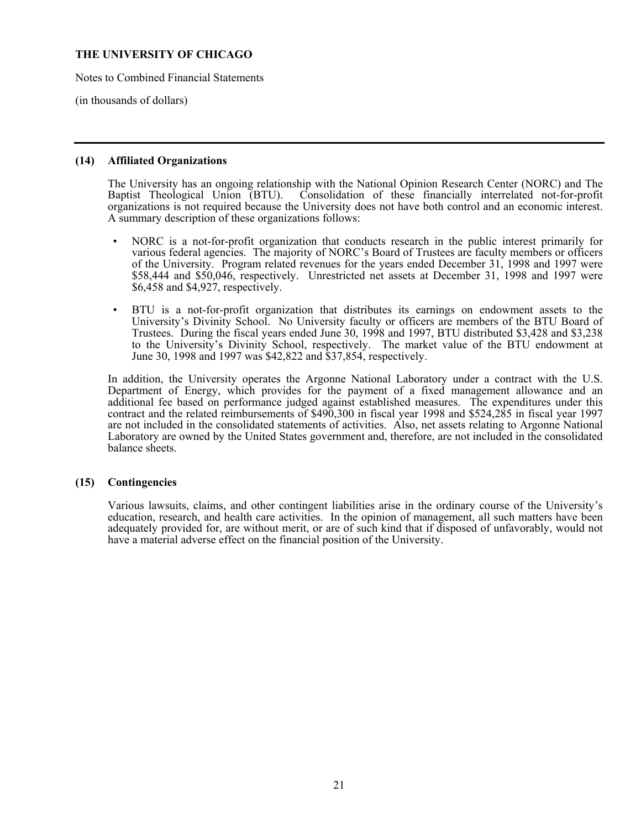Notes to Combined Financial Statements

(in thousands of dollars)

#### **(14) Affiliated Organizations**

The University has an ongoing relationship with the National Opinion Research Center (NORC) and The Baptist Theological Union (BTU). Consolidation of these financially interrelated not-for-profit Consolidation of these financially interrelated not-for-profit organizations is not required because the University does not have both control and an economic interest. A summary description of these organizations follows:

- NORC is a not-for-profit organization that conducts research in the public interest primarily for various federal agencies. The majority of NORC's Board of Trustees are faculty members or officers of the University. Program related revenues for the years ended December 31, 1998 and 1997 were \$58,444 and \$50,046, respectively. Unrestricted net assets at December 31, 1998 and 1997 were \$6,458 and \$4,927, respectively.
- BTU is a not-for-profit organization that distributes its earnings on endowment assets to the University's Divinity School. No University faculty or officers are members of the BTU Board of Trustees. During the fiscal years ended June 30, 1998 and 1997, BTU distributed \$3,428 and \$3,238 to the University's Divinity School, respectively. The market value of the BTU endowment at June 30, 1998 and 1997 was \$42,822 and \$37,854, respectively.

 In addition, the University operates the Argonne National Laboratory under a contract with the U.S. Department of Energy, which provides for the payment of a fixed management allowance and an additional fee based on performance judged against established measures. The expenditures under this contract and the related reimbursements of \$490,300 in fiscal year 1998 and \$524,285 in fiscal year 1997 are not included in the consolidated statements of activities. Also, net assets relating to Argonne National Laboratory are owned by the United States government and, therefore, are not included in the consolidated balance sheets.

#### **(15) Contingencies**

 Various lawsuits, claims, and other contingent liabilities arise in the ordinary course of the University's education, research, and health care activities. In the opinion of management, all such matters have been adequately provided for, are without merit, or are of such kind that if disposed of unfavorably, would not have a material adverse effect on the financial position of the University.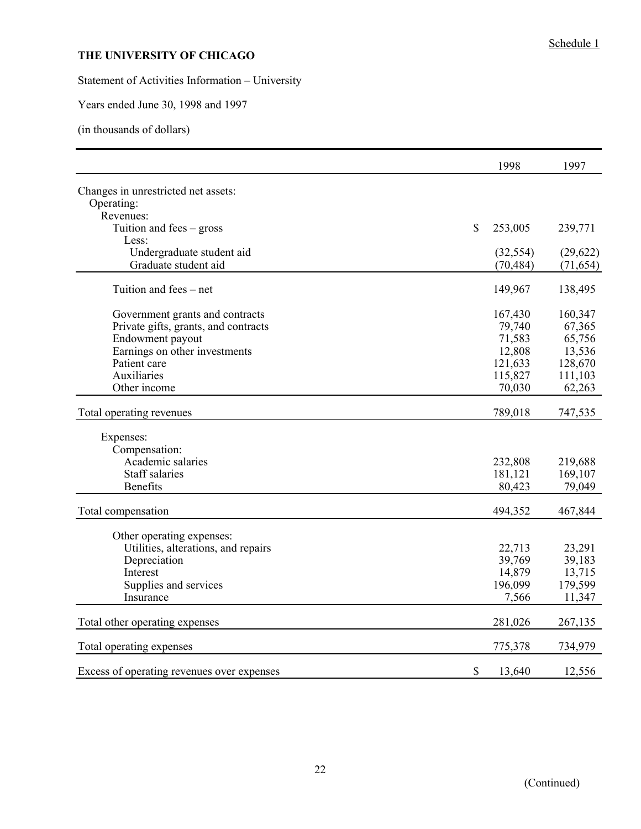Statement of Activities Information – University

Years ended June 30, 1998 and 1997

(in thousands of dollars)

|                                            |              | 1998      | 1997      |
|--------------------------------------------|--------------|-----------|-----------|
| Changes in unrestricted net assets:        |              |           |           |
| Operating:                                 |              |           |           |
| Revenues:                                  |              |           |           |
| Tuition and fees $-$ gross                 | $\mathbb{S}$ | 253,005   | 239,771   |
| Less:                                      |              |           |           |
| Undergraduate student aid                  |              | (32, 554) | (29,622)  |
| Graduate student aid                       |              | (70, 484) | (71, 654) |
| Tuition and fees – net                     |              | 149,967   | 138,495   |
| Government grants and contracts            |              | 167,430   | 160,347   |
| Private gifts, grants, and contracts       |              | 79,740    | 67,365    |
| Endowment payout                           |              | 71,583    | 65,756    |
| Earnings on other investments              |              | 12,808    | 13,536    |
| Patient care                               |              | 121,633   | 128,670   |
| Auxiliaries                                |              | 115,827   | 111,103   |
| Other income                               |              | 70,030    | 62,263    |
| Total operating revenues                   |              | 789,018   | 747,535   |
|                                            |              |           |           |
| Expenses:                                  |              |           |           |
| Compensation:<br>Academic salaries         |              | 232,808   | 219,688   |
| <b>Staff salaries</b>                      |              | 181,121   | 169,107   |
| <b>Benefits</b>                            |              | 80,423    | 79,049    |
|                                            |              |           |           |
| Total compensation                         |              | 494,352   | 467,844   |
| Other operating expenses:                  |              |           |           |
| Utilities, alterations, and repairs        |              | 22,713    | 23,291    |
| Depreciation                               |              | 39,769    | 39,183    |
| Interest                                   |              | 14,879    | 13,715    |
| Supplies and services                      |              | 196,099   | 179,599   |
| Insurance                                  |              | 7,566     | 11,347    |
| Total other operating expenses             |              | 281,026   | 267,135   |
|                                            |              |           |           |
| Total operating expenses                   |              | 775,378   | 734,979   |
| Excess of operating revenues over expenses | \$           | 13,640    | 12,556    |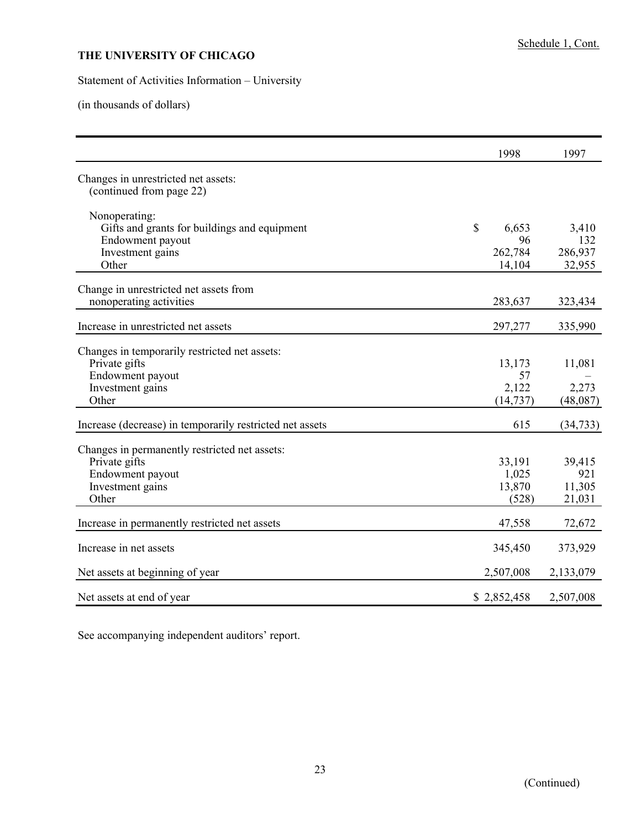## Statement of Activities Information – University

(in thousands of dollars)

|                                                                                                                 | 1998                                       | 1997                                       |
|-----------------------------------------------------------------------------------------------------------------|--------------------------------------------|--------------------------------------------|
| Changes in unrestricted net assets:<br>(continued from page 22)                                                 |                                            |                                            |
| Nonoperating:<br>Gifts and grants for buildings and equipment<br>Endowment payout<br>Investment gains<br>Other  | $\mathbb{S}$<br>6,653<br>262,784<br>14,104 | 3,410<br>96<br>132<br>286,937<br>32,955    |
| Change in unrestricted net assets from<br>nonoperating activities                                               | 283,637                                    | 323,434                                    |
| Increase in unrestricted net assets                                                                             | 297,277                                    | 335,990                                    |
| Changes in temporarily restricted net assets:<br>Private gifts<br>Endowment payout<br>Investment gains<br>Other | 13,173<br>2,122<br>(14, 737)               | 11,081<br>57<br>2,273<br>(48,087)          |
| Increase (decrease) in temporarily restricted net assets                                                        |                                            | 615<br>(34, 733)                           |
| Changes in permanently restricted net assets:<br>Private gifts<br>Endowment payout<br>Investment gains<br>Other | 33,191<br>1,025<br>13,870                  | 39,415<br>921<br>11,305<br>(528)<br>21,031 |
| Increase in permanently restricted net assets                                                                   | 47,558                                     | 72,672                                     |
| Increase in net assets                                                                                          | 345,450                                    | 373,929                                    |
| Net assets at beginning of year                                                                                 | 2,507,008                                  | 2,133,079                                  |
| Net assets at end of year                                                                                       | \$2,852,458                                | 2,507,008                                  |

See accompanying independent auditors' report.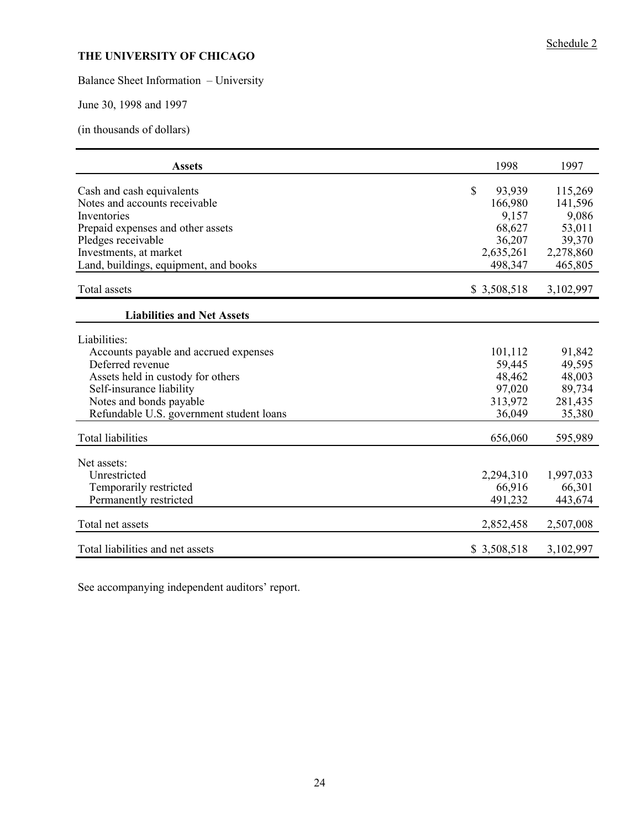# Balance Sheet Information – University

June 30, 1998 and 1997

(in thousands of dollars)

| <b>Assets</b>                            | 1998                   | 1997      |
|------------------------------------------|------------------------|-----------|
| Cash and cash equivalents                | $\mathbb{S}$<br>93,939 | 115,269   |
| Notes and accounts receivable            | 166,980                | 141,596   |
| Inventories                              | 9,157                  | 9,086     |
| Prepaid expenses and other assets        | 68,627                 | 53,011    |
| Pledges receivable                       | 36,207                 | 39,370    |
| Investments, at market                   | 2,635,261              | 2,278,860 |
| Land, buildings, equipment, and books    | 498,347                | 465,805   |
| Total assets                             | \$3,508,518            | 3,102,997 |
| <b>Liabilities and Net Assets</b>        |                        |           |
| Liabilities:                             |                        |           |
| Accounts payable and accrued expenses    | 101,112                | 91,842    |
| Deferred revenue                         | 59,445                 | 49,595    |
| Assets held in custody for others        | 48,462                 | 48,003    |
| Self-insurance liability                 | 97,020                 | 89,734    |
| Notes and bonds payable                  | 313,972                | 281,435   |
| Refundable U.S. government student loans | 36,049                 | 35,380    |
| <b>Total liabilities</b>                 | 656,060                | 595,989   |
| Net assets:                              |                        |           |
| Unrestricted                             | 2,294,310              | 1,997,033 |
| Temporarily restricted                   | 66,916                 | 66,301    |
| Permanently restricted                   | 491,232                | 443,674   |
|                                          |                        |           |
| Total net assets                         | 2,852,458              | 2,507,008 |
| Total liabilities and net assets         | \$3,508,518            | 3,102,997 |

See accompanying independent auditors' report.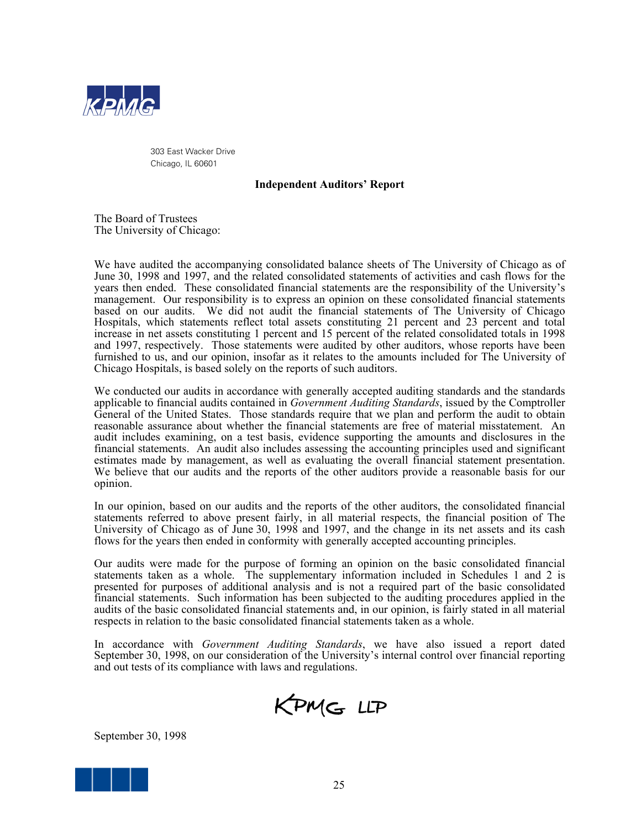

303 East Wacker Drive Chicago, IL 60601

### **Independent Auditors' Report**

The Board of Trustees The University of Chicago:

We have audited the accompanying consolidated balance sheets of The University of Chicago as of June 30, 1998 and 1997, and the related consolidated statements of activities and cash flows for the years then ended. These consolidated financial statements are the responsibility of the University's management. Our responsibility is to express an opinion on these consolidated financial statements based on our audits. We did not audit the financial statements of The University of Chicago Hospitals, which statements reflect total assets constituting 21 percent and 23 percent and total increase in net assets constituting 1 percent and 15 percent of the related consolidated totals in 1998 and 1997, respectively. Those statements were audited by other auditors, whose reports have been furnished to us, and our opinion, insofar as it relates to the amounts included for The University of Chicago Hospitals, is based solely on the reports of such auditors.

We conducted our audits in accordance with generally accepted auditing standards and the standards applicable to financial audits contained in *Government Auditing Standards*, issued by the Comptroller General of the United States. Those standards require that we plan and perform the audit to obtain reasonable assurance about whether the financial statements are free of material misstatement. An audit includes examining, on a test basis, evidence supporting the amounts and disclosures in the financial statements. An audit also includes assessing the accounting principles used and significant estimates made by management, as well as evaluating the overall financial statement presentation. We believe that our audits and the reports of the other auditors provide a reasonable basis for our opinion.

In our opinion, based on our audits and the reports of the other auditors, the consolidated financial statements referred to above present fairly, in all material respects, the financial position of The University of Chicago as of June 30, 1998 and 1997, and the change in its net assets and its cash flows for the years then ended in conformity with generally accepted accounting principles.

Our audits were made for the purpose of forming an opinion on the basic consolidated financial statements taken as a whole. The supplementary information included in Schedules 1 and 2 is presented for purposes of additional analysis and is not a required part of the basic consolidated financial statements. Such information has been subjected to the auditing procedures applied in the audits of the basic consolidated financial statements and, in our opinion, is fairly stated in all material respects in relation to the basic consolidated financial statements taken as a whole.

 In accordance with *Government Auditing Standards*, we have also issued a report dated September 30, 1998, on our consideration of the University's internal control over financial reporting and out tests of its compliance with laws and regulations.



September 30, 1998